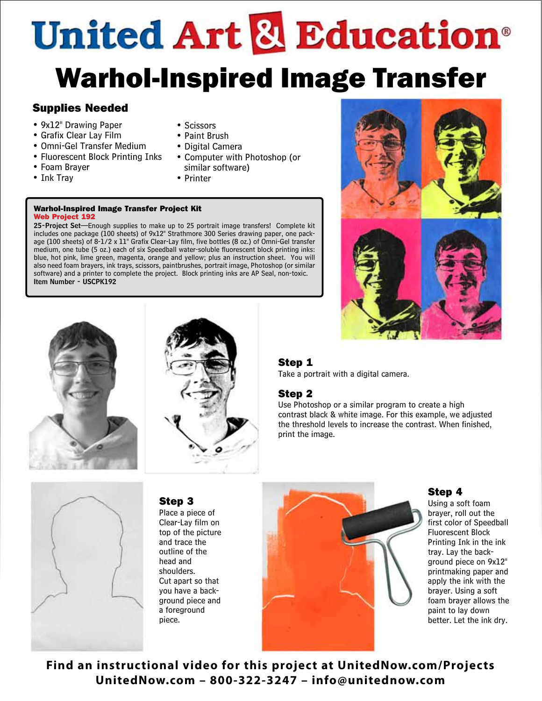# **United Art & Education**® Warhol-Inspired Image Transfer

# Supplies Needed

- 9x12" Drawing Paper
- Grafix Clear Lay Film
- Omni-Gel Transfer Medium
- Fluorescent Block Printing Inks
- Foam Brayer
- Ink Tray
- Scissors
- Paint Brush
- Digital Camera
- Computer with Photoshop (or similar software)
- Printer

#### Warhol-Inspired Image Transfer Project Kit Web Project 192

25-Project Set-Enough supplies to make up to 25 portrait image transfers! Complete kit includes one package (100 sheets) of 9x12" Strathmore 300 Series drawing paper, one package (100 sheets) of 8-1/2 x 11" Grafix Clear-Lay film, five bottles (8 oz.) of Omni-Gel transfer medium, one tube (5 oz.) each of six Speedball water-soluble fluorescent block printing inks: blue, hot pink, lime green, magenta, orange and yellow; plus an instruction sheet. You will also need foam brayers, ink trays, scissors, paintbrushes, portrait image, Photoshop (or similar software) and a printer to complete the project. Block printing inks are AP Seal, non-toxic. Item Number - USCPK192

> Step 3 Place a piece of Clear-Lay film on top of the picture and trace the outline of the head and shoulders. Cut apart so that you have a background piece and a foreground piece.



# Step 1

Take a portrait with a digital camera.

# Step 2

Use Photoshop or a similar program to create a high contrast black & white image. For this example, we adjusted the threshold levels to increase the contrast. When finished, print the image.







# Step 4

Using a soft foam brayer, roll out the first color of Speedball Fluorescent Block Printing Ink in the ink tray. Lay the background piece on 9x12" printmaking paper and apply the ink with the brayer. Using a soft foam brayer allows the paint to lay down better. Let the ink dry.

**Find an instructional video for this project at UnitedNow.com/Projects UnitedNow.com – 800-322-3247 – info@unitednow.com**